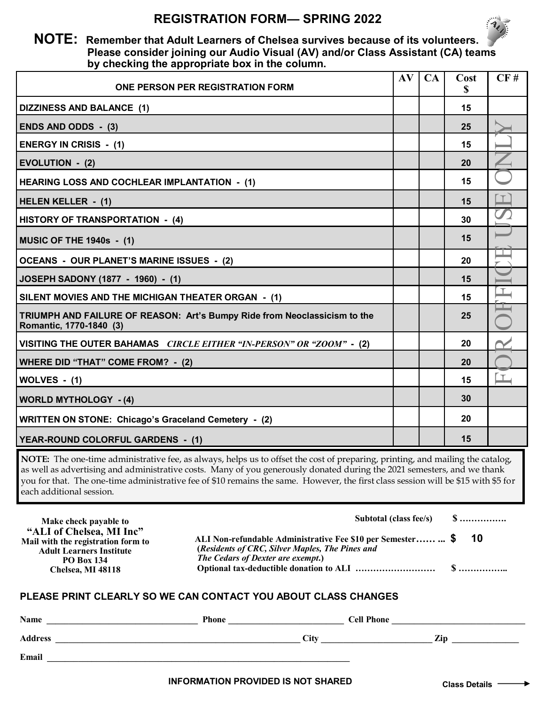## **REGISTRATION FORM— SPRING 2022**



## **NOTE: Remember that Adult Learners of Chelsea survives because of its volunteers. Please consider joining our Audio Visual (AV) and/or Class Assistant (CA) teams by checking the appropriate box in the column.**

| ONE PERSON PER REGISTRATION FORM                                                                     | AV | CA | Cost<br>S | CF#    |
|------------------------------------------------------------------------------------------------------|----|----|-----------|--------|
| <b>DIZZINESS AND BALANCE (1)</b>                                                                     |    |    | 15        |        |
| <b>ENDS AND ODDS - (3)</b>                                                                           |    |    | 25        |        |
| <b>ENERGY IN CRISIS - (1)</b>                                                                        |    |    | 15        |        |
| <b>EVOLUTION - (2)</b>                                                                               |    |    | 20        |        |
| <b>HEARING LOSS AND COCHLEAR IMPLANTATION - (1)</b>                                                  |    |    | 15        |        |
| <b>HELEN KELLER - (1)</b>                                                                            |    |    | 15        |        |
| HISTORY OF TRANSPORTATION - (4)                                                                      |    |    | 30        |        |
| <b>MUSIC OF THE 1940s - (1)</b>                                                                      |    |    | 15        |        |
| OCEANS - OUR PLANET'S MARINE ISSUES - (2)                                                            |    |    | 20        |        |
| JOSEPH SADONY (1877 - 1960) - (1)                                                                    |    |    | 15        |        |
| SILENT MOVIES AND THE MICHIGAN THEATER ORGAN - (1)                                                   |    |    | 15        | $\top$ |
| TRIUMPH AND FAILURE OF REASON: Art's Bumpy Ride from Neoclassicism to the<br>Romantic, 1770-1840 (3) |    |    | 25        |        |
| VISITING THE OUTER BAHAMAS <i>CIRCLE EITHER "IN-PERSON" OR "ZOOM"</i> - (2)                          |    |    | 20        |        |
| <b>WHERE DID "THAT" COME FROM? - (2)</b>                                                             |    |    | 20        |        |
| WOLVES - (1)                                                                                         |    |    | 15        | $\Box$ |
| <b>WORLD MYTHOLOGY - (4)</b>                                                                         |    |    | 30        |        |
| <b>WRITTEN ON STONE: Chicago's Graceland Cemetery - (2)</b>                                          |    |    | 20        |        |
| YEAR-ROUND COLORFUL GARDENS - (1)                                                                    |    |    | 15        |        |

**NOTE:** The one-time administrative fee, as always, helps us to offset the cost of preparing, printing, and mailing the catalog, as well as advertising and administrative costs. Many of you generously donated during the 2021 semesters, and we thank you for that. The one-time administrative fee of \$10 remains the same. However, the first class session will be \$15 with \$5 for each additional session.

| Make check payable to                                                                                                                                                                                                                                                                              |                                           | Subtotal (class fee/s)            | $\S$            |  |  |  |  |
|----------------------------------------------------------------------------------------------------------------------------------------------------------------------------------------------------------------------------------------------------------------------------------------------------|-------------------------------------------|-----------------------------------|-----------------|--|--|--|--|
| "ALI of Chelsea, MI Inc"<br>ALI Non-refundable Administrative Fee \$10 per Semester  \$<br>Mail with the registration form to<br>(Residents of CRC, Silver Maples, The Pines and<br><b>Adult Learners Institute</b><br>The Cedars of Dexter are exempt.)<br><b>PO Box 134</b><br>Chelsea, MI 48118 |                                           |                                   | 10              |  |  |  |  |
| PLEASE PRINT CLEARLY SO WE CAN CONTACT YOU ABOUT CLASS CHANGES                                                                                                                                                                                                                                     |                                           |                                   |                 |  |  |  |  |
|                                                                                                                                                                                                                                                                                                    |                                           |                                   |                 |  |  |  |  |
|                                                                                                                                                                                                                                                                                                    |                                           | $\frac{City}{}$ \n $\frac{Zip}{}$ |                 |  |  |  |  |
|                                                                                                                                                                                                                                                                                                    |                                           |                                   |                 |  |  |  |  |
|                                                                                                                                                                                                                                                                                                    | <b>INFORMATION PROVIDED IS NOT SHARED</b> |                                   | Class Details - |  |  |  |  |